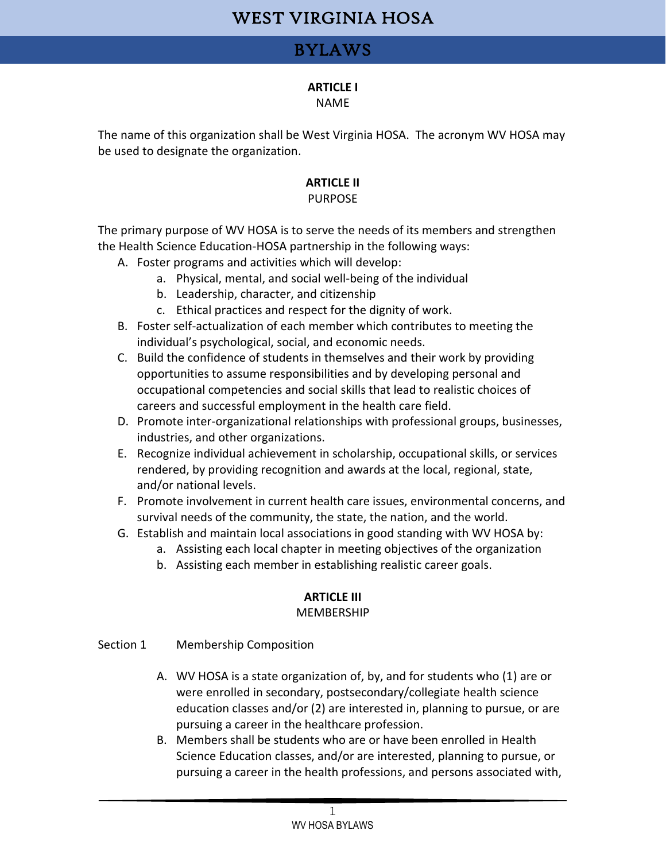### BYLAWS

#### **ARTICLE I**

#### NAME

The name of this organization shall be West Virginia HOSA. The acronym WV HOSA may be used to designate the organization.

#### **ARTICLE II**

#### PURPOSE

The primary purpose of WV HOSA is to serve the needs of its members and strengthen the Health Science Education-HOSA partnership in the following ways:

- A. Foster programs and activities which will develop:
	- a. Physical, mental, and social well-being of the individual
	- b. Leadership, character, and citizenship
	- c. Ethical practices and respect for the dignity of work.
- B. Foster self-actualization of each member which contributes to meeting the individual's psychological, social, and economic needs.
- C. Build the confidence of students in themselves and their work by providing opportunities to assume responsibilities and by developing personal and occupational competencies and social skills that lead to realistic choices of careers and successful employment in the health care field.
- D. Promote inter-organizational relationships with professional groups, businesses, industries, and other organizations.
- E. Recognize individual achievement in scholarship, occupational skills, or services rendered, by providing recognition and awards at the local, regional, state, and/or national levels.
- F. Promote involvement in current health care issues, environmental concerns, and survival needs of the community, the state, the nation, and the world.
- G. Establish and maintain local associations in good standing with WV HOSA by:
	- a. Assisting each local chapter in meeting objectives of the organization
	- b. Assisting each member in establishing realistic career goals.

# **ARTICLE III**

#### MEMBERSHIP

#### Section 1 Membership Composition

- A. WV HOSA is a state organization of, by, and for students who (1) are or were enrolled in secondary, postsecondary/collegiate health science education classes and/or (2) are interested in, planning to pursue, or are pursuing a career in the healthcare profession.
- B. Members shall be students who are or have been enrolled in Health Science Education classes, and/or are interested, planning to pursue, or pursuing a career in the health professions, and persons associated with,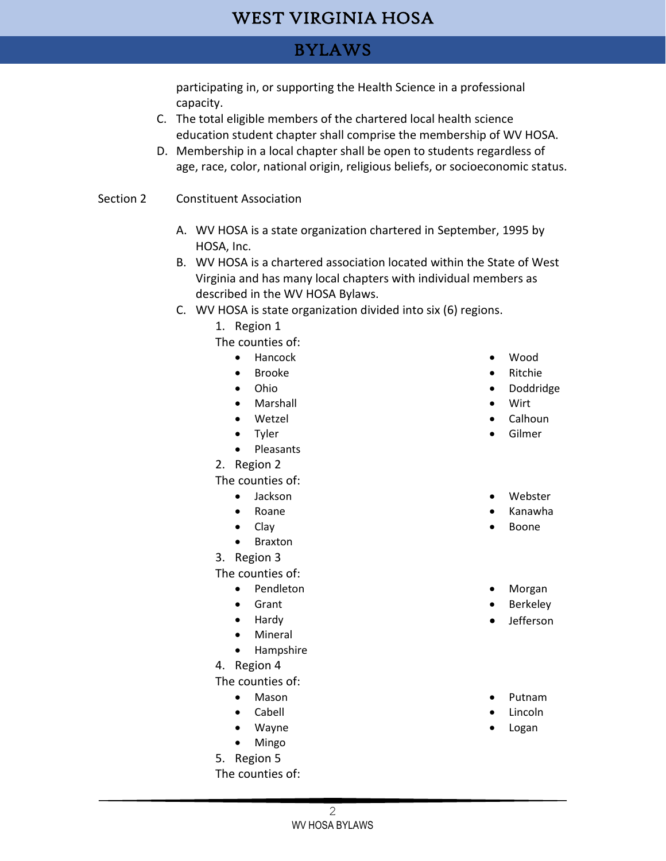### BYLAWS

participating in, or supporting the Health Science in a professional capacity.

- C. The total eligible members of the chartered local health science education student chapter shall comprise the membership of WV HOSA.
- D. Membership in a local chapter shall be open to students regardless of age, race, color, national origin, religious beliefs, or socioeconomic status.
- Section 2 Constituent Association
	- A. WV HOSA is a state organization chartered in September, 1995 by HOSA, Inc.
	- B. WV HOSA is a chartered association located within the State of West Virginia and has many local chapters with individual members as described in the WV HOSA Bylaws.
	- C. WV HOSA is state organization divided into six (6) regions.
		- 1. Region 1

The counties of:

- Hancock
- Brooke
- Ohio
- Marshall
- Wetzel
- Tyler
- Pleasants
- 2. Region 2

The counties of:

- Jackson
- Roane
- Clay
- Braxton
- 3. Region 3

The counties of:

- Pendleton
- Grant
- Hardy
- Mineral
- Hampshire
- 4. Region 4

The counties of:

- Mason
- Cabell
- Wayne
- Mingo
- 5. Region 5

The counties of:

- Wood
- Ritchie
- Doddridge
- Wirt
- Calhoun
- Gilmer
- Webster
- Kanawha
- Boone
- Morgan
- Berkeley
- Jefferson
- Putnam
- Lincoln
- Logan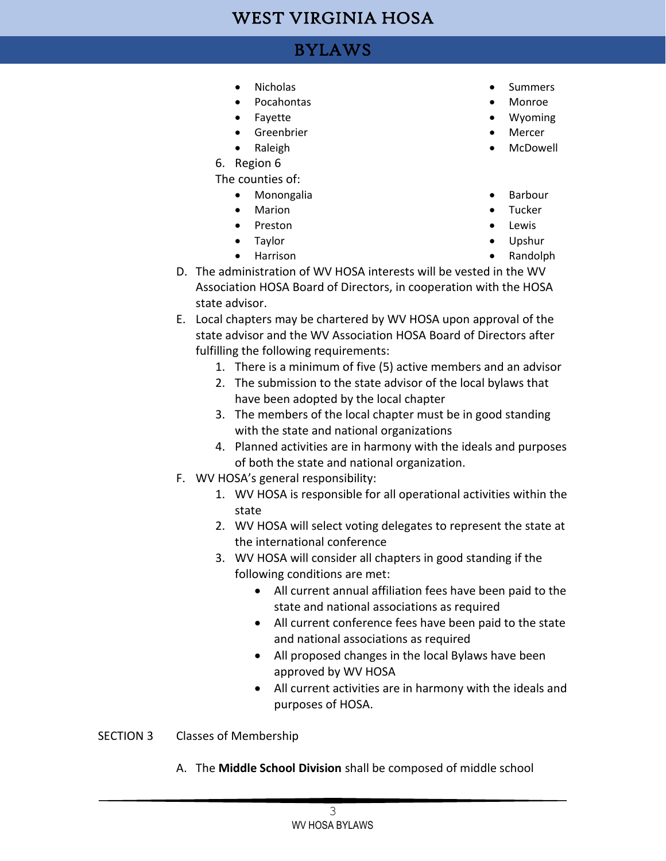## BYLAWS

- Nicholas
- Pocahontas
- Fayette
- Greenbrier
- Raleigh
- 6. Region 6

The counties of:

- Monongalia
- Marion
- Preston
- Taylor
- Harrison
- **Summers**
- Monroe
- Wyoming
- Mercer
- McDowell
- Barbour
- Tucker
- Lewis
- Upshur
- Randolph
- D. The administration of WV HOSA interests will be vested in the WV Association HOSA Board of Directors, in cooperation with the HOSA state advisor.
- E. Local chapters may be chartered by WV HOSA upon approval of the state advisor and the WV Association HOSA Board of Directors after fulfilling the following requirements:
	- 1. There is a minimum of five (5) active members and an advisor
	- 2. The submission to the state advisor of the local bylaws that have been adopted by the local chapter
	- 3. The members of the local chapter must be in good standing with the state and national organizations
	- 4. Planned activities are in harmony with the ideals and purposes of both the state and national organization.
- F. WV HOSA's general responsibility:
	- 1. WV HOSA is responsible for all operational activities within the state
	- 2. WV HOSA will select voting delegates to represent the state at the international conference
	- 3. WV HOSA will consider all chapters in good standing if the following conditions are met:
		- All current annual affiliation fees have been paid to the state and national associations as required
		- All current conference fees have been paid to the state and national associations as required
		- All proposed changes in the local Bylaws have been approved by WV HOSA
		- All current activities are in harmony with the ideals and purposes of HOSA.
- SECTION 3 Classes of Membership
	- A. The **Middle School Division** shall be composed of middle school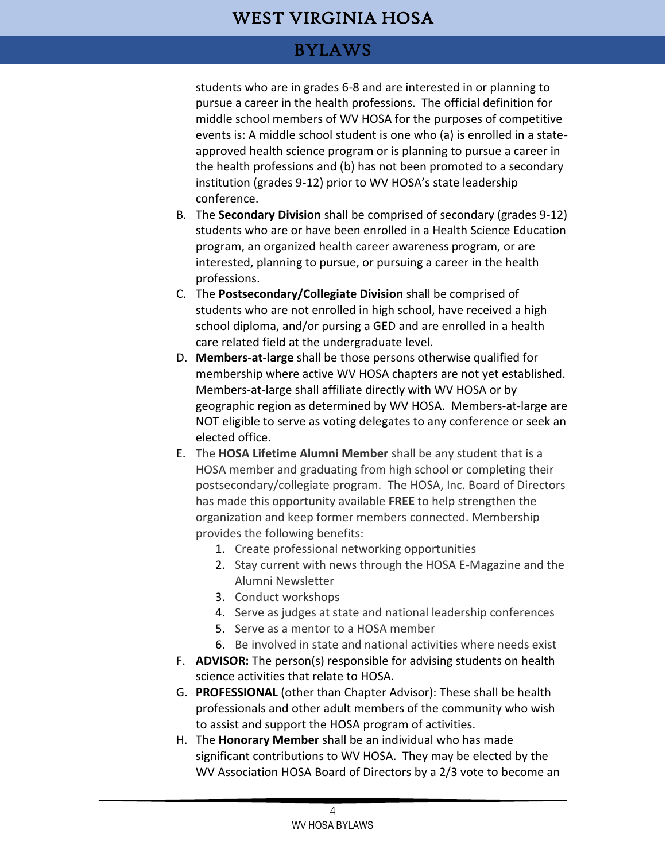## BYLAWS

students who are in grades 6-8 and are interested in or planning to pursue a career in the health professions. The official definition for middle school members of WV HOSA for the purposes of competitive events is: A middle school student is one who (a) is enrolled in a stateapproved health science program or is planning to pursue a career in the health professions and (b) has not been promoted to a secondary institution (grades 9-12) prior to WV HOSA's state leadership conference.

- B. The **Secondary Division** shall be comprised of secondary (grades 9-12) students who are or have been enrolled in a Health Science Education program, an organized health career awareness program, or are interested, planning to pursue, or pursuing a career in the health professions.
- C. The **Postsecondary/Collegiate Division** shall be comprised of students who are not enrolled in high school, have received a high school diploma, and/or pursing a GED and are enrolled in a health care related field at the undergraduate level.
- D. **Members-at-large** shall be those persons otherwise qualified for membership where active WV HOSA chapters are not yet established. Members-at-large shall affiliate directly with WV HOSA or by geographic region as determined by WV HOSA. Members-at-large are NOT eligible to serve as voting delegates to any conference or seek an elected office.
- E. The **HOSA Lifetime Alumni Member** shall be any student that is a HOSA member and graduating from high school or completing their postsecondary/collegiate program. The HOSA, Inc. Board of Directors has made this opportunity available **FREE** to help strengthen the organization and keep former members connected. Membership provides the following benefits:
	- 1. Create professional networking opportunities
	- 2. Stay current with news through the HOSA E-Magazine and the Alumni Newsletter
	- 3. Conduct workshops
	- 4. Serve as judges at state and national leadership conferences
	- 5. Serve as a mentor to a HOSA member
	- 6. Be involved in state and national activities where needs exist
- F. **ADVISOR:** The person(s) responsible for advising students on health science activities that relate to HOSA.
- G. **PROFESSIONAL** (other than Chapter Advisor): These shall be health professionals and other adult members of the community who wish to assist and support the HOSA program of activities.
- H. The **Honorary Member** shall be an individual who has made significant contributions to WV HOSA. They may be elected by the WV Association HOSA Board of Directors by a 2/3 vote to become an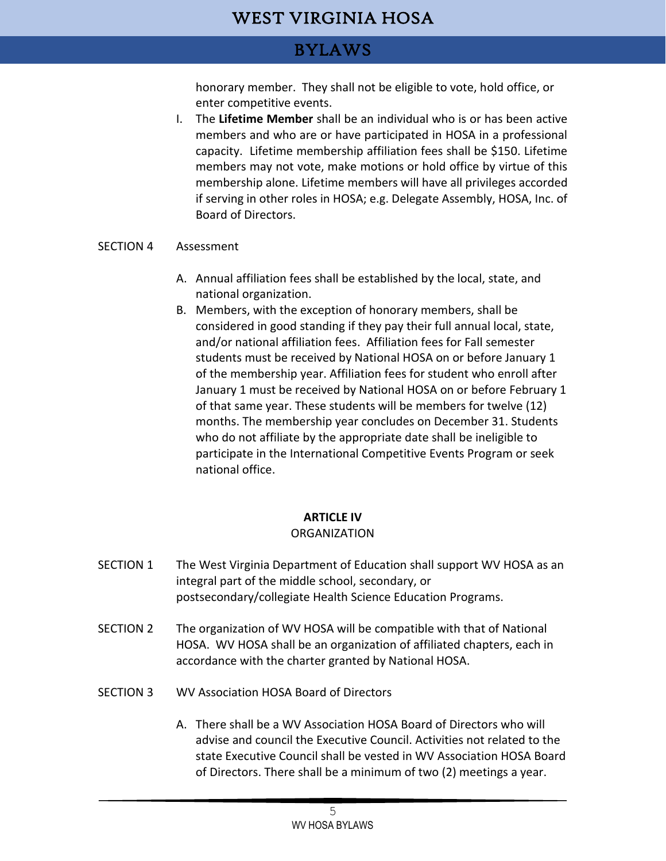### BYLAWS

honorary member. They shall not be eligible to vote, hold office, or enter competitive events.

I. The **Lifetime Member** shall be an individual who is or has been active members and who are or have participated in HOSA in a professional capacity. Lifetime membership affiliation fees shall be \$150. Lifetime members may not vote, make motions or hold office by virtue of this membership alone. Lifetime members will have all privileges accorded if serving in other roles in HOSA; e.g. Delegate Assembly, HOSA, Inc. of Board of Directors.

#### SECTION 4 Assessment

- A. Annual affiliation fees shall be established by the local, state, and national organization.
- B. Members, with the exception of honorary members, shall be considered in good standing if they pay their full annual local, state, and/or national affiliation fees. Affiliation fees for Fall semester students must be received by National HOSA on or before January 1 of the membership year. Affiliation fees for student who enroll after January 1 must be received by National HOSA on or before February 1 of that same year. These students will be members for twelve (12) months. The membership year concludes on December 31. Students who do not affiliate by the appropriate date shall be ineligible to participate in the International Competitive Events Program or seek national office.

#### **ARTICLE IV**

#### **ORGANIZATION**

- SECTION 1 The West Virginia Department of Education shall support WV HOSA as an integral part of the middle school, secondary, or postsecondary/collegiate Health Science Education Programs.
- SECTION 2 The organization of WV HOSA will be compatible with that of National HOSA. WV HOSA shall be an organization of affiliated chapters, each in accordance with the charter granted by National HOSA.
- SECTION 3 WV Association HOSA Board of Directors
	- A. There shall be a WV Association HOSA Board of Directors who will advise and council the Executive Council. Activities not related to the state Executive Council shall be vested in WV Association HOSA Board of Directors. There shall be a minimum of two (2) meetings a year.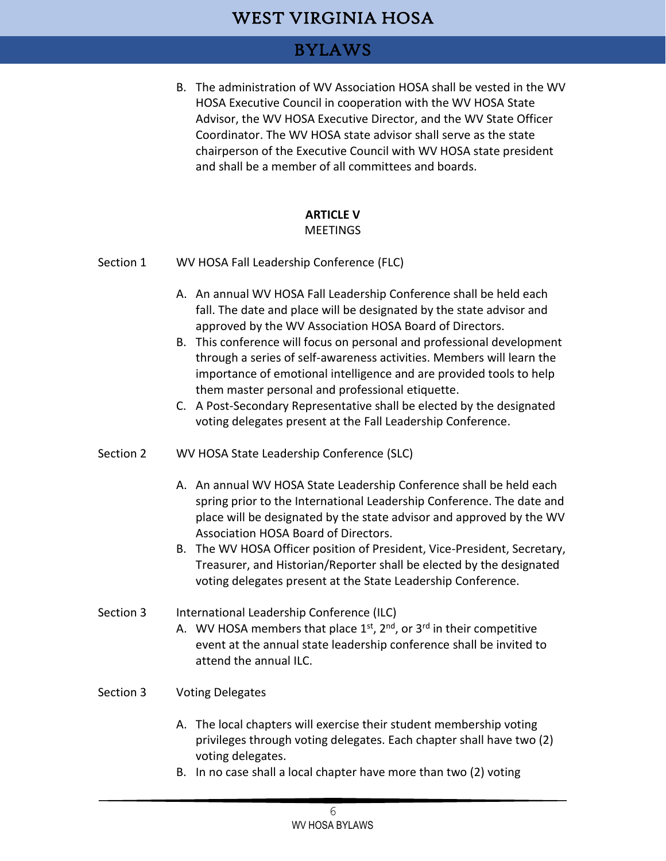### BYLAWS

B. The administration of WV Association HOSA shall be vested in the WV HOSA Executive Council in cooperation with the WV HOSA State Advisor, the WV HOSA Executive Director, and the WV State Officer Coordinator. The WV HOSA state advisor shall serve as the state chairperson of the Executive Council with WV HOSA state president and shall be a member of all committees and boards.

### **ARTICLE V**

#### MEETINGS

- Section 1 WV HOSA Fall Leadership Conference (FLC)
	- A. An annual WV HOSA Fall Leadership Conference shall be held each fall. The date and place will be designated by the state advisor and approved by the WV Association HOSA Board of Directors.
	- B. This conference will focus on personal and professional development through a series of self-awareness activities. Members will learn the importance of emotional intelligence and are provided tools to help them master personal and professional etiquette.
	- C. A Post-Secondary Representative shall be elected by the designated voting delegates present at the Fall Leadership Conference.
- Section 2 WV HOSA State Leadership Conference (SLC)
	- A. An annual WV HOSA State Leadership Conference shall be held each spring prior to the International Leadership Conference. The date and place will be designated by the state advisor and approved by the WV Association HOSA Board of Directors.
	- B. The WV HOSA Officer position of President, Vice-President, Secretary, Treasurer, and Historian/Reporter shall be elected by the designated voting delegates present at the State Leadership Conference.
- Section 3 International Leadership Conference (ILC)
	- A. WV HOSA members that place  $1^{st}$ ,  $2^{nd}$ , or  $3^{rd}$  in their competitive event at the annual state leadership conference shall be invited to attend the annual ILC.
- Section 3 Voting Delegates
	- A. The local chapters will exercise their student membership voting privileges through voting delegates. Each chapter shall have two (2) voting delegates.
	- B. In no case shall a local chapter have more than two (2) voting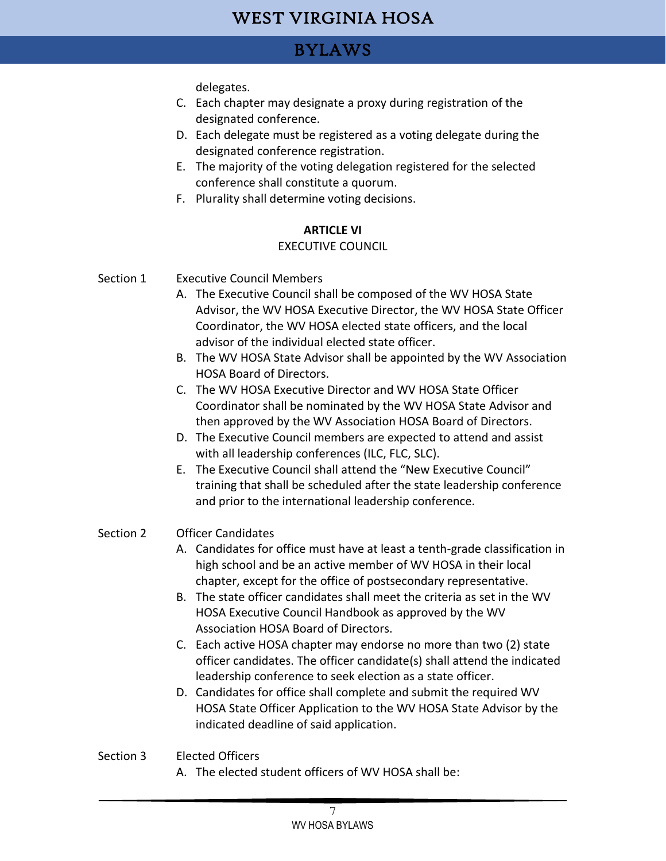## BYLAWS

delegates.

- C. Each chapter may designate a proxy during registration of the designated conference.
- D. Each delegate must be registered as a voting delegate during the designated conference registration.
- E. The majority of the voting delegation registered for the selected conference shall constitute a quorum.
- F. Plurality shall determine voting decisions.

#### **ARTICLE VI**

#### EXECUTIVE COUNCIL

- Section 1 Executive Council Members
	- A. The Executive Council shall be composed of the WV HOSA State Advisor, the WV HOSA Executive Director, the WV HOSA State Officer Coordinator, the WV HOSA elected state officers, and the local advisor of the individual elected state officer.
	- B. The WV HOSA State Advisor shall be appointed by the WV Association HOSA Board of Directors.
	- C. The WV HOSA Executive Director and WV HOSA State Officer Coordinator shall be nominated by the WV HOSA State Advisor and then approved by the WV Association HOSA Board of Directors.
	- D. The Executive Council members are expected to attend and assist with all leadership conferences (ILC, FLC, SLC).
	- E. The Executive Council shall attend the "New Executive Council" training that shall be scheduled after the state leadership conference and prior to the international leadership conference.

#### Section 2 Officer Candidates

- A. Candidates for office must have at least a tenth-grade classification in high school and be an active member of WV HOSA in their local chapter, except for the office of postsecondary representative.
- B. The state officer candidates shall meet the criteria as set in the WV HOSA Executive Council Handbook as approved by the WV Association HOSA Board of Directors.
- C. Each active HOSA chapter may endorse no more than two (2) state officer candidates. The officer candidate(s) shall attend the indicated leadership conference to seek election as a state officer.
- D. Candidates for office shall complete and submit the required WV HOSA State Officer Application to the WV HOSA State Advisor by the indicated deadline of said application.

#### Section 3 Elected Officers

A. The elected student officers of WV HOSA shall be: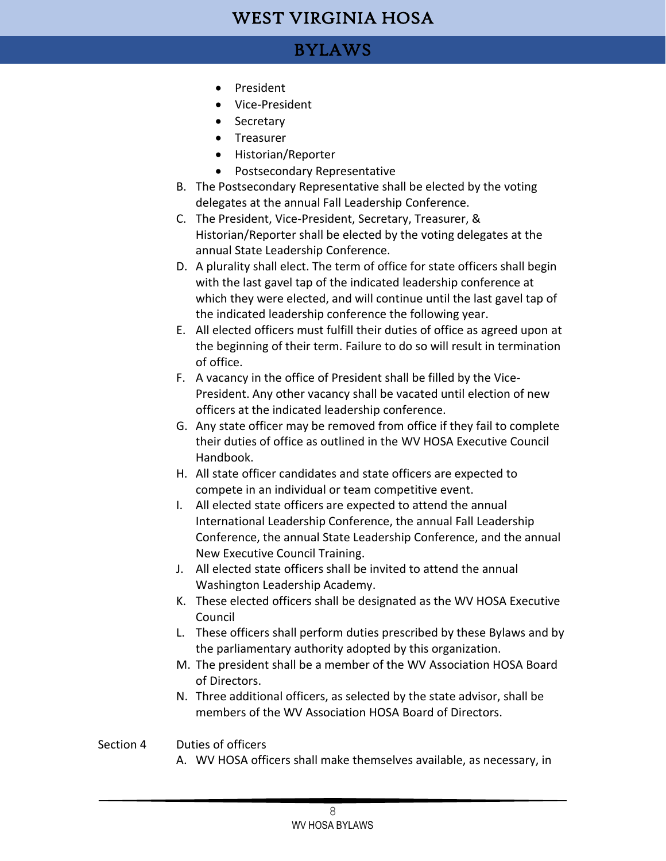### BYLAWS

- President
- Vice-President
- Secretary
- Treasurer
- Historian/Reporter
- Postsecondary Representative
- B. The Postsecondary Representative shall be elected by the voting delegates at the annual Fall Leadership Conference.
- C. The President, Vice-President, Secretary, Treasurer, & Historian/Reporter shall be elected by the voting delegates at the annual State Leadership Conference.
- D. A plurality shall elect. The term of office for state officers shall begin with the last gavel tap of the indicated leadership conference at which they were elected, and will continue until the last gavel tap of the indicated leadership conference the following year.
- E. All elected officers must fulfill their duties of office as agreed upon at the beginning of their term. Failure to do so will result in termination of office.
- F. A vacancy in the office of President shall be filled by the Vice-President. Any other vacancy shall be vacated until election of new officers at the indicated leadership conference.
- G. Any state officer may be removed from office if they fail to complete their duties of office as outlined in the WV HOSA Executive Council Handbook.
- H. All state officer candidates and state officers are expected to compete in an individual or team competitive event.
- I. All elected state officers are expected to attend the annual International Leadership Conference, the annual Fall Leadership Conference, the annual State Leadership Conference, and the annual New Executive Council Training.
- J. All elected state officers shall be invited to attend the annual Washington Leadership Academy.
- K. These elected officers shall be designated as the WV HOSA Executive Council
- L. These officers shall perform duties prescribed by these Bylaws and by the parliamentary authority adopted by this organization.
- M. The president shall be a member of the WV Association HOSA Board of Directors.
- N. Three additional officers, as selected by the state advisor, shall be members of the WV Association HOSA Board of Directors.

#### Section 4 Duties of officers

A. WV HOSA officers shall make themselves available, as necessary, in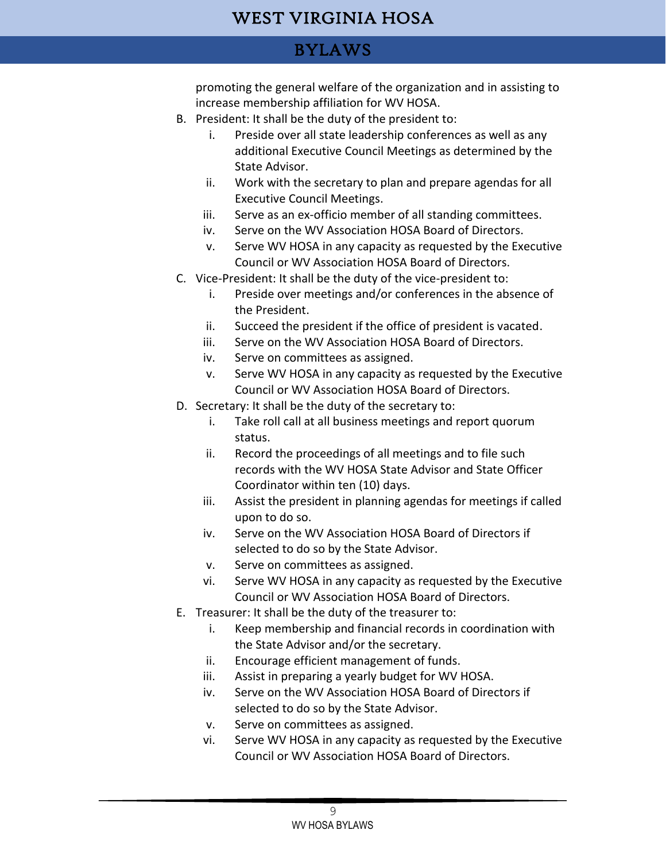## BYLAWS

promoting the general welfare of the organization and in assisting to increase membership affiliation for WV HOSA.

- B. President: It shall be the duty of the president to:
	- i. Preside over all state leadership conferences as well as any additional Executive Council Meetings as determined by the State Advisor.
	- ii. Work with the secretary to plan and prepare agendas for all Executive Council Meetings.
	- iii. Serve as an ex-officio member of all standing committees.
	- iv. Serve on the WV Association HOSA Board of Directors.
	- v. Serve WV HOSA in any capacity as requested by the Executive Council or WV Association HOSA Board of Directors.
- C. Vice-President: It shall be the duty of the vice-president to:
	- i. Preside over meetings and/or conferences in the absence of the President.
	- ii. Succeed the president if the office of president is vacated.
	- iii. Serve on the WV Association HOSA Board of Directors.
	- iv. Serve on committees as assigned.
	- v. Serve WV HOSA in any capacity as requested by the Executive Council or WV Association HOSA Board of Directors.
- D. Secretary: It shall be the duty of the secretary to:
	- i. Take roll call at all business meetings and report quorum status.
	- ii. Record the proceedings of all meetings and to file such records with the WV HOSA State Advisor and State Officer Coordinator within ten (10) days.
	- iii. Assist the president in planning agendas for meetings if called upon to do so.
	- iv. Serve on the WV Association HOSA Board of Directors if selected to do so by the State Advisor.
	- v. Serve on committees as assigned.
	- vi. Serve WV HOSA in any capacity as requested by the Executive Council or WV Association HOSA Board of Directors.
- E. Treasurer: It shall be the duty of the treasurer to:
	- i. Keep membership and financial records in coordination with the State Advisor and/or the secretary.
	- ii. Encourage efficient management of funds.
	- iii. Assist in preparing a yearly budget for WV HOSA.
	- iv. Serve on the WV Association HOSA Board of Directors if selected to do so by the State Advisor.
	- v. Serve on committees as assigned.
	- vi. Serve WV HOSA in any capacity as requested by the Executive Council or WV Association HOSA Board of Directors.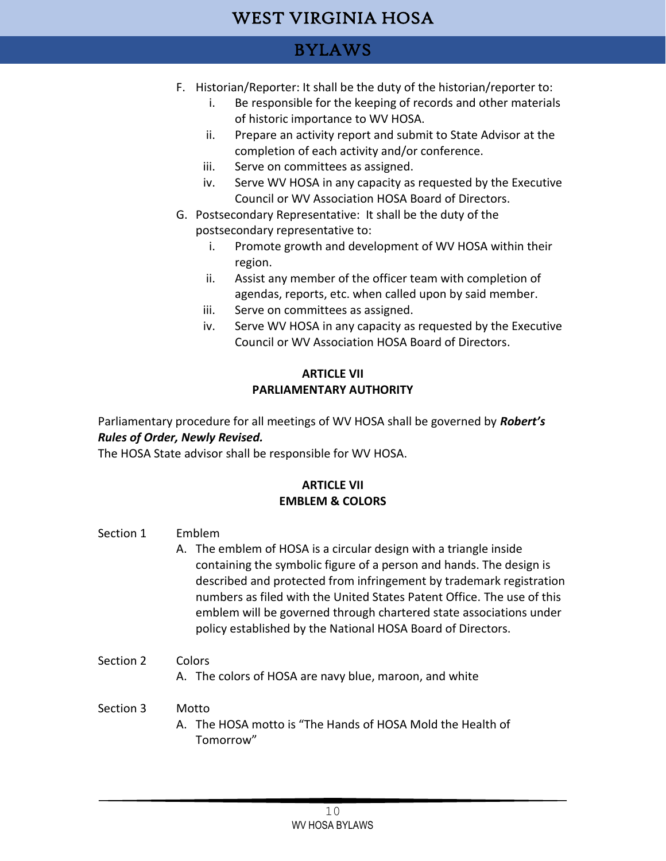### BYLAWS

- F. Historian/Reporter: It shall be the duty of the historian/reporter to:
	- i. Be responsible for the keeping of records and other materials of historic importance to WV HOSA.
	- ii. Prepare an activity report and submit to State Advisor at the completion of each activity and/or conference.
	- iii. Serve on committees as assigned.
	- iv. Serve WV HOSA in any capacity as requested by the Executive Council or WV Association HOSA Board of Directors.
- G. Postsecondary Representative: It shall be the duty of the postsecondary representative to:
	- i. Promote growth and development of WV HOSA within their region.
	- ii. Assist any member of the officer team with completion of agendas, reports, etc. when called upon by said member.
	- iii. Serve on committees as assigned.
	- iv. Serve WV HOSA in any capacity as requested by the Executive Council or WV Association HOSA Board of Directors.

#### **ARTICLE VII PARLIAMENTARY AUTHORITY**

Parliamentary procedure for all meetings of WV HOSA shall be governed by *Robert's Rules of Order, Newly Revised.*

The HOSA State advisor shall be responsible for WV HOSA.

#### **ARTICLE VII EMBLEM & COLORS**

#### Section 1 Emblem

A. The emblem of HOSA is a circular design with a triangle inside containing the symbolic figure of a person and hands. The design is described and protected from infringement by trademark registration numbers as filed with the United States Patent Office. The use of this emblem will be governed through chartered state associations under policy established by the National HOSA Board of Directors.

#### Section 2 Colors

A. The colors of HOSA are navy blue, maroon, and white

#### Section 3 Motto

A. The HOSA motto is "The Hands of HOSA Mold the Health of Tomorrow"